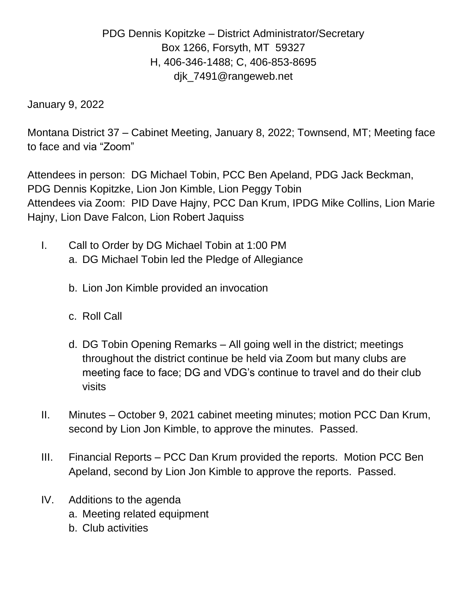## PDG Dennis Kopitzke – District Administrator/Secretary Box 1266, Forsyth, MT 59327 H, 406-346-1488; C, 406-853-8695 djk\_7491@rangeweb.net

January 9, 2022

Montana District 37 – Cabinet Meeting, January 8, 2022; Townsend, MT; Meeting face to face and via "Zoom"

Attendees in person: DG Michael Tobin, PCC Ben Apeland, PDG Jack Beckman, PDG Dennis Kopitzke, Lion Jon Kimble, Lion Peggy Tobin Attendees via Zoom: PID Dave Hajny, PCC Dan Krum, IPDG Mike Collins, Lion Marie Hajny, Lion Dave Falcon, Lion Robert Jaquiss

- I. Call to Order by DG Michael Tobin at 1:00 PM a. DG Michael Tobin led the Pledge of Allegiance
	- b. Lion Jon Kimble provided an invocation
	- c. Roll Call
	- d. DG Tobin Opening Remarks All going well in the district; meetings throughout the district continue be held via Zoom but many clubs are meeting face to face; DG and VDG's continue to travel and do their club visits
- II. Minutes October 9, 2021 cabinet meeting minutes; motion PCC Dan Krum, second by Lion Jon Kimble, to approve the minutes. Passed.
- III. Financial Reports PCC Dan Krum provided the reports. Motion PCC Ben Apeland, second by Lion Jon Kimble to approve the reports. Passed.
- IV. Additions to the agenda
	- a. Meeting related equipment
	- b. Club activities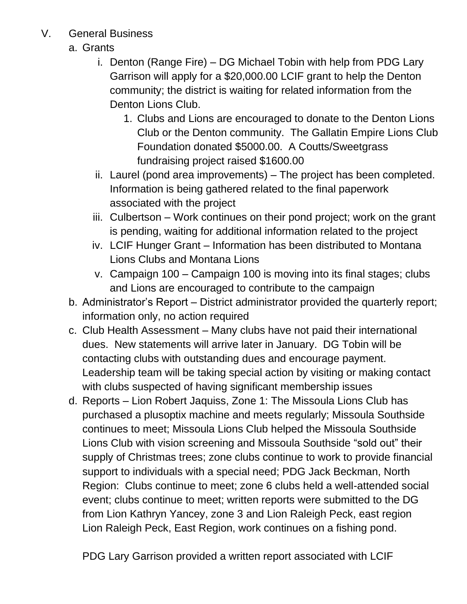- V. General Business
	- a. Grants
		- i. Denton (Range Fire) DG Michael Tobin with help from PDG Lary Garrison will apply for a \$20,000.00 LCIF grant to help the Denton community; the district is waiting for related information from the Denton Lions Club.
			- 1. Clubs and Lions are encouraged to donate to the Denton Lions Club or the Denton community. The Gallatin Empire Lions Club Foundation donated \$5000.00. A Coutts/Sweetgrass fundraising project raised \$1600.00
		- ii. Laurel (pond area improvements) The project has been completed. Information is being gathered related to the final paperwork associated with the project
		- iii. Culbertson Work continues on their pond project; work on the grant is pending, waiting for additional information related to the project
		- iv. LCIF Hunger Grant Information has been distributed to Montana Lions Clubs and Montana Lions
		- v. Campaign 100 Campaign 100 is moving into its final stages; clubs and Lions are encouraged to contribute to the campaign
	- b. Administrator's Report District administrator provided the quarterly report; information only, no action required
	- c. Club Health Assessment Many clubs have not paid their international dues. New statements will arrive later in January. DG Tobin will be contacting clubs with outstanding dues and encourage payment. Leadership team will be taking special action by visiting or making contact with clubs suspected of having significant membership issues
	- d. Reports Lion Robert Jaquiss, Zone 1: The Missoula Lions Club has purchased a plusoptix machine and meets regularly; Missoula Southside continues to meet; Missoula Lions Club helped the Missoula Southside Lions Club with vision screening and Missoula Southside "sold out" their supply of Christmas trees; zone clubs continue to work to provide financial support to individuals with a special need; PDG Jack Beckman, North Region: Clubs continue to meet; zone 6 clubs held a well-attended social event; clubs continue to meet; written reports were submitted to the DG from Lion Kathryn Yancey, zone 3 and Lion Raleigh Peck, east region Lion Raleigh Peck, East Region, work continues on a fishing pond.

PDG Lary Garrison provided a written report associated with LCIF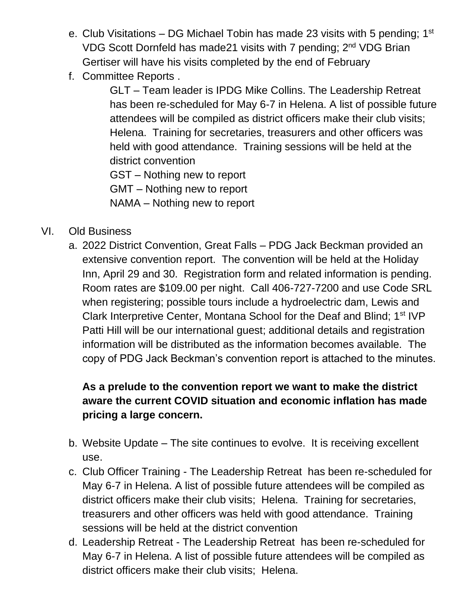- e. Club Visitations DG Michael Tobin has made 23 visits with 5 pending;  $1<sup>st</sup>$ VDG Scott Dornfeld has made21 visits with 7 pending; 2<sup>nd</sup> VDG Brian Gertiser will have his visits completed by the end of February
- f. Committee Reports .

GLT – Team leader is IPDG Mike Collins. The Leadership Retreat has been re-scheduled for May 6-7 in Helena. A list of possible future attendees will be compiled as district officers make their club visits; Helena. Training for secretaries, treasurers and other officers was held with good attendance. Training sessions will be held at the district convention

GST – Nothing new to report GMT – Nothing new to report NAMA – Nothing new to report

- VI. Old Business
	- a. 2022 District Convention, Great Falls PDG Jack Beckman provided an extensive convention report. The convention will be held at the Holiday Inn, April 29 and 30. Registration form and related information is pending. Room rates are \$109.00 per night. Call 406-727-7200 and use Code SRL when registering; possible tours include a hydroelectric dam, Lewis and Clark Interpretive Center, Montana School for the Deaf and Blind; 1<sup>st</sup> IVP Patti Hill will be our international guest; additional details and registration information will be distributed as the information becomes available. The copy of PDG Jack Beckman's convention report is attached to the minutes.

## **As a prelude to the convention report we want to make the district aware the current COVID situation and economic inflation has made pricing a large concern.**

- b. Website Update The site continues to evolve. It is receiving excellent use.
- c. Club Officer Training The Leadership Retreat has been re-scheduled for May 6-7 in Helena. A list of possible future attendees will be compiled as district officers make their club visits; Helena. Training for secretaries, treasurers and other officers was held with good attendance. Training sessions will be held at the district convention
- d. Leadership Retreat The Leadership Retreat has been re-scheduled for May 6-7 in Helena. A list of possible future attendees will be compiled as district officers make their club visits; Helena.